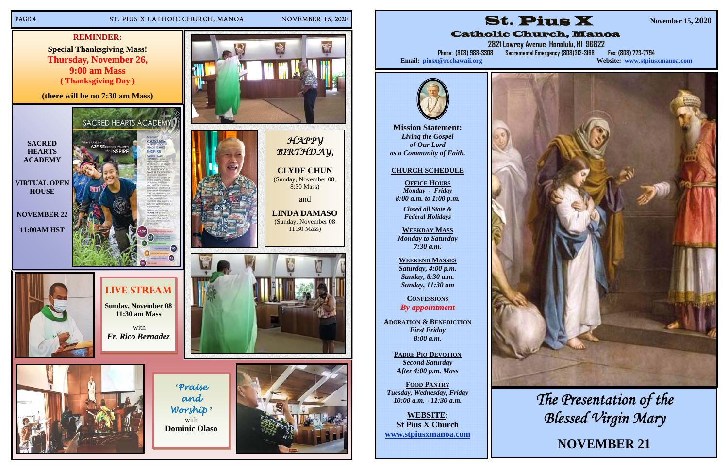#### PAGE 4 ST. PIUS X CATHOIC CHURCH, MANOA NOVEMBER 15, 2020



**Mission Statement:**  *Living the Gospel of Our Lord as a Community of Faith.* 

**2821 Lowrey Avenue Honolulu, HI 96822 Phone: (808) 988-3308 Sacramental Emergency (808) 312-3168 Website: www.stpiusxmanoa.com** 

## **CHURCH SCHEDULE**

**OFFICE HOURS** *Monday - Friday 8:00 a.m. to 1:00 p.m.* 

*Closed all State & Federal Holidays* 

**WEEKDAY MASS**  *Monday to Saturday 7:30 a.m.* 

**WEEKEND MASSES**  *Saturday, 4:00 p.m. Sunday, 8:30 a.m. Sunday, 11:30 am* 

**CONFESSIONS** *By appointment* 

**ADORATION & BENEDICTION** *First Friday 8:00 a.m.* 

> **PADRE PIO DEVOTION** *Second Saturday After 4:00 p.m. Mass*

**FOOD PANTRY** *Tuesday, Wednesday, Friday 10:00 a.m. - 11:30 a.m.* 

**WEBSITE: St Pius X Church www.stpiusxmanoa.com** 







# Catholic Church, Manoa

Email: piusx@rcchawaii.org

**November 15, 2020** 



*The Presentation of the Blessed Virgin Mary* 

**NOVEMBER 21**